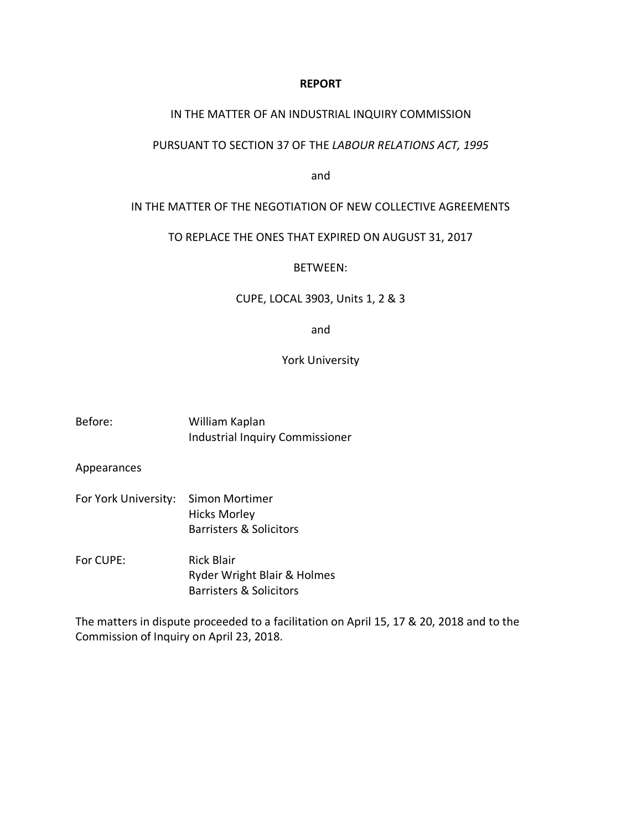# **REPORT**

## IN THE MATTER OF AN INDUSTRIAL INQUIRY COMMISSION

## PURSUANT TO SECTION 37 OF THE *LABOUR RELATIONS ACT, 1995*

and

## IN THE MATTER OF THE NEGOTIATION OF NEW COLLECTIVE AGREEMENTS

# TO REPLACE THE ONES THAT EXPIRED ON AUGUST 31, 2017

#### BETWEEN:

### CUPE, LOCAL 3903, Units 1, 2 & 3

and

# York University

| Before: | William Kaplan                  |
|---------|---------------------------------|
|         | Industrial Inquiry Commissioner |

Appearances

- For York University: Simon Mortimer Hicks Morley Barristers & Solicitors
- For CUPE: Rick Blair Ryder Wright Blair & Holmes Barristers & Solicitors

The matters in dispute proceeded to a facilitation on April 15, 17 & 20, 2018 and to the Commission of Inquiry on April 23, 2018.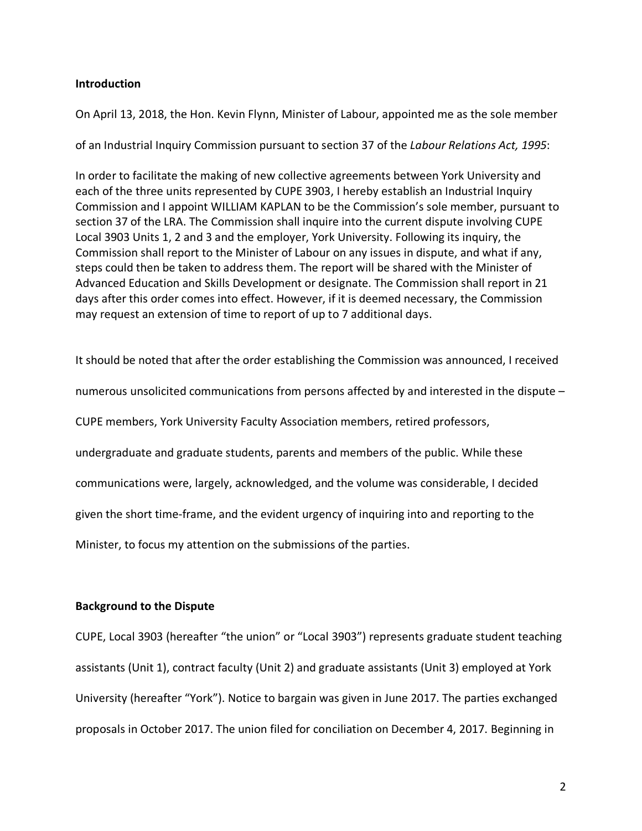# **Introduction**

On April 13, 2018, the Hon. Kevin Flynn, Minister of Labour, appointed me as the sole member

of an Industrial Inquiry Commission pursuant to section 37 of the *Labour Relations Act, 1995*:

In order to facilitate the making of new collective agreements between York University and each of the three units represented by CUPE 3903, I hereby establish an Industrial Inquiry Commission and I appoint WILLIAM KAPLAN to be the Commission's sole member, pursuant to section 37 of the LRA. The Commission shall inquire into the current dispute involving CUPE Local 3903 Units 1, 2 and 3 and the employer, York University. Following its inquiry, the Commission shall report to the Minister of Labour on any issues in dispute, and what if any, steps could then be taken to address them. The report will be shared with the Minister of Advanced Education and Skills Development or designate. The Commission shall report in 21 days after this order comes into effect. However, if it is deemed necessary, the Commission may request an extension of time to report of up to 7 additional days.

It should be noted that after the order establishing the Commission was announced, I received numerous unsolicited communications from persons affected by and interested in the dispute – CUPE members, York University Faculty Association members, retired professors, undergraduate and graduate students, parents and members of the public. While these communications were, largely, acknowledged, and the volume was considerable, I decided given the short time-frame, and the evident urgency of inquiring into and reporting to the Minister, to focus my attention on the submissions of the parties.

# **Background to the Dispute**

CUPE, Local 3903 (hereafter "the union" or "Local 3903") represents graduate student teaching assistants (Unit 1), contract faculty (Unit 2) and graduate assistants (Unit 3) employed at York University (hereafter "York"). Notice to bargain was given in June 2017. The parties exchanged proposals in October 2017. The union filed for conciliation on December 4, 2017. Beginning in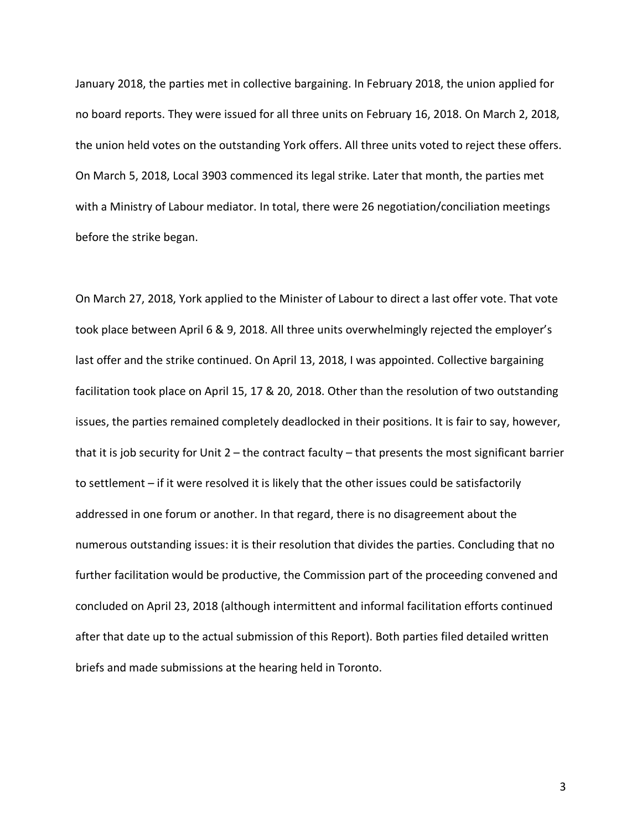January 2018, the parties met in collective bargaining. In February 2018, the union applied for no board reports. They were issued for all three units on February 16, 2018. On March 2, 2018, the union held votes on the outstanding York offers. All three units voted to reject these offers. On March 5, 2018, Local 3903 commenced its legal strike. Later that month, the parties met with a Ministry of Labour mediator. In total, there were 26 negotiation/conciliation meetings before the strike began.

On March 27, 2018, York applied to the Minister of Labour to direct a last offer vote. That vote took place between April 6 & 9, 2018. All three units overwhelmingly rejected the employer's last offer and the strike continued. On April 13, 2018, I was appointed. Collective bargaining facilitation took place on April 15, 17 & 20, 2018. Other than the resolution of two outstanding issues, the parties remained completely deadlocked in their positions. It is fair to say, however, that it is job security for Unit 2 – the contract faculty – that presents the most significant barrier to settlement – if it were resolved it is likely that the other issues could be satisfactorily addressed in one forum or another. In that regard, there is no disagreement about the numerous outstanding issues: it is their resolution that divides the parties. Concluding that no further facilitation would be productive, the Commission part of the proceeding convened and concluded on April 23, 2018 (although intermittent and informal facilitation efforts continued after that date up to the actual submission of this Report). Both parties filed detailed written briefs and made submissions at the hearing held in Toronto.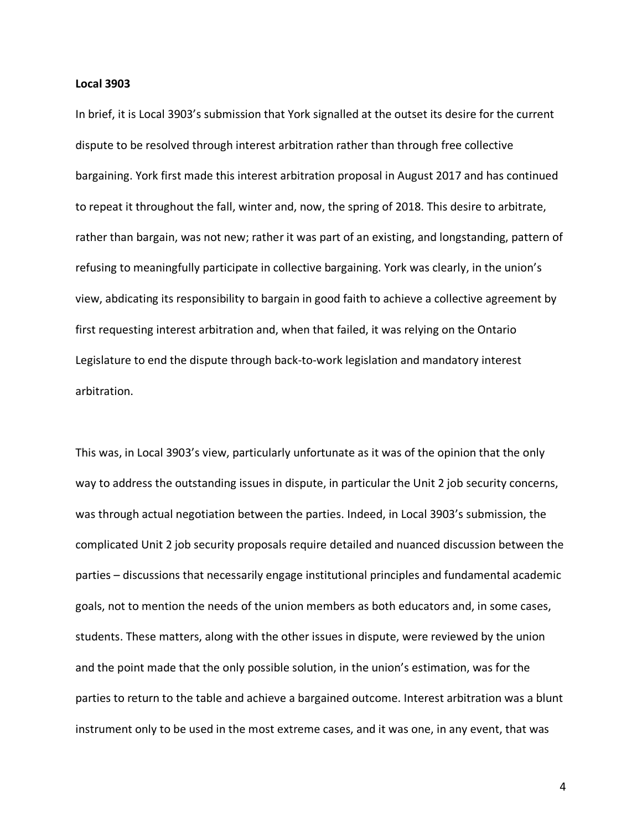## **Local 3903**

In brief, it is Local 3903's submission that York signalled at the outset its desire for the current dispute to be resolved through interest arbitration rather than through free collective bargaining. York first made this interest arbitration proposal in August 2017 and has continued to repeat it throughout the fall, winter and, now, the spring of 2018. This desire to arbitrate, rather than bargain, was not new; rather it was part of an existing, and longstanding, pattern of refusing to meaningfully participate in collective bargaining. York was clearly, in the union's view, abdicating its responsibility to bargain in good faith to achieve a collective agreement by first requesting interest arbitration and, when that failed, it was relying on the Ontario Legislature to end the dispute through back-to-work legislation and mandatory interest arbitration.

This was, in Local 3903's view, particularly unfortunate as it was of the opinion that the only way to address the outstanding issues in dispute, in particular the Unit 2 job security concerns, was through actual negotiation between the parties. Indeed, in Local 3903's submission, the complicated Unit 2 job security proposals require detailed and nuanced discussion between the parties – discussions that necessarily engage institutional principles and fundamental academic goals, not to mention the needs of the union members as both educators and, in some cases, students. These matters, along with the other issues in dispute, were reviewed by the union and the point made that the only possible solution, in the union's estimation, was for the parties to return to the table and achieve a bargained outcome. Interest arbitration was a blunt instrument only to be used in the most extreme cases, and it was one, in any event, that was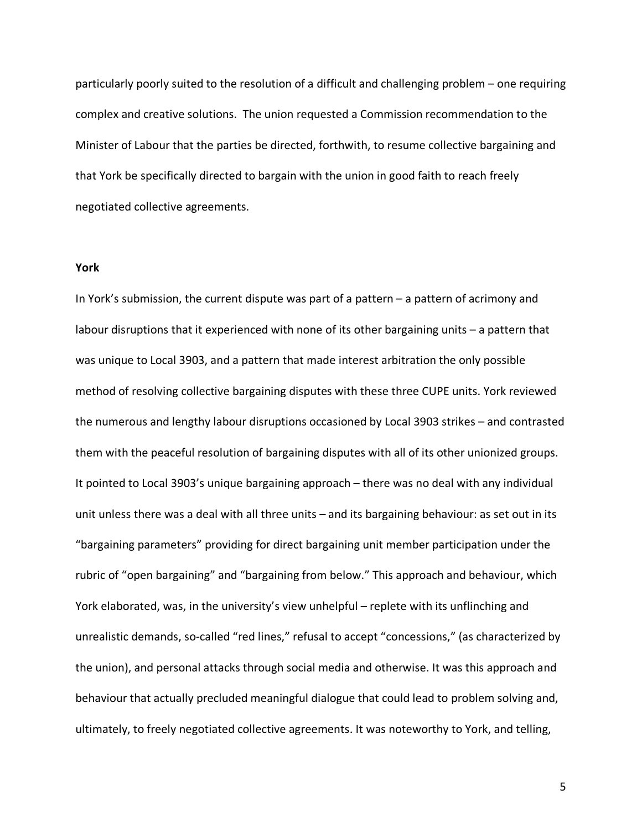particularly poorly suited to the resolution of a difficult and challenging problem – one requiring complex and creative solutions. The union requested a Commission recommendation to the Minister of Labour that the parties be directed, forthwith, to resume collective bargaining and that York be specifically directed to bargain with the union in good faith to reach freely negotiated collective agreements.

### **York**

In York's submission, the current dispute was part of a pattern – a pattern of acrimony and labour disruptions that it experienced with none of its other bargaining units – a pattern that was unique to Local 3903, and a pattern that made interest arbitration the only possible method of resolving collective bargaining disputes with these three CUPE units. York reviewed the numerous and lengthy labour disruptions occasioned by Local 3903 strikes – and contrasted them with the peaceful resolution of bargaining disputes with all of its other unionized groups. It pointed to Local 3903's unique bargaining approach – there was no deal with any individual unit unless there was a deal with all three units – and its bargaining behaviour: as set out in its "bargaining parameters" providing for direct bargaining unit member participation under the rubric of "open bargaining" and "bargaining from below." This approach and behaviour, which York elaborated, was, in the university's view unhelpful – replete with its unflinching and unrealistic demands, so-called "red lines," refusal to accept "concessions," (as characterized by the union), and personal attacks through social media and otherwise. It was this approach and behaviour that actually precluded meaningful dialogue that could lead to problem solving and, ultimately, to freely negotiated collective agreements. It was noteworthy to York, and telling,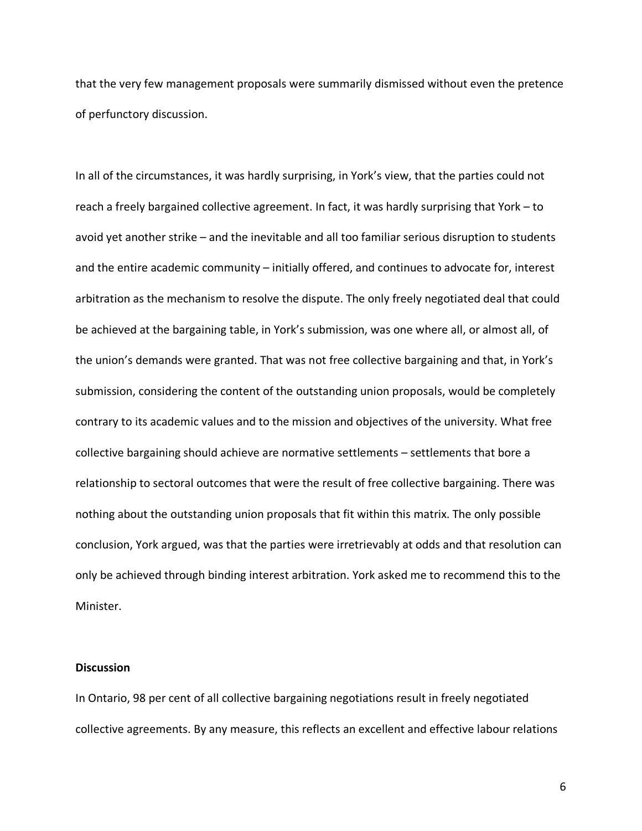that the very few management proposals were summarily dismissed without even the pretence of perfunctory discussion.

In all of the circumstances, it was hardly surprising, in York's view, that the parties could not reach a freely bargained collective agreement. In fact, it was hardly surprising that York – to avoid yet another strike – and the inevitable and all too familiar serious disruption to students and the entire academic community – initially offered, and continues to advocate for, interest arbitration as the mechanism to resolve the dispute. The only freely negotiated deal that could be achieved at the bargaining table, in York's submission, was one where all, or almost all, of the union's demands were granted. That was not free collective bargaining and that, in York's submission, considering the content of the outstanding union proposals, would be completely contrary to its academic values and to the mission and objectives of the university. What free collective bargaining should achieve are normative settlements – settlements that bore a relationship to sectoral outcomes that were the result of free collective bargaining. There was nothing about the outstanding union proposals that fit within this matrix. The only possible conclusion, York argued, was that the parties were irretrievably at odds and that resolution can only be achieved through binding interest arbitration. York asked me to recommend this to the Minister.

# **Discussion**

In Ontario, 98 per cent of all collective bargaining negotiations result in freely negotiated collective agreements. By any measure, this reflects an excellent and effective labour relations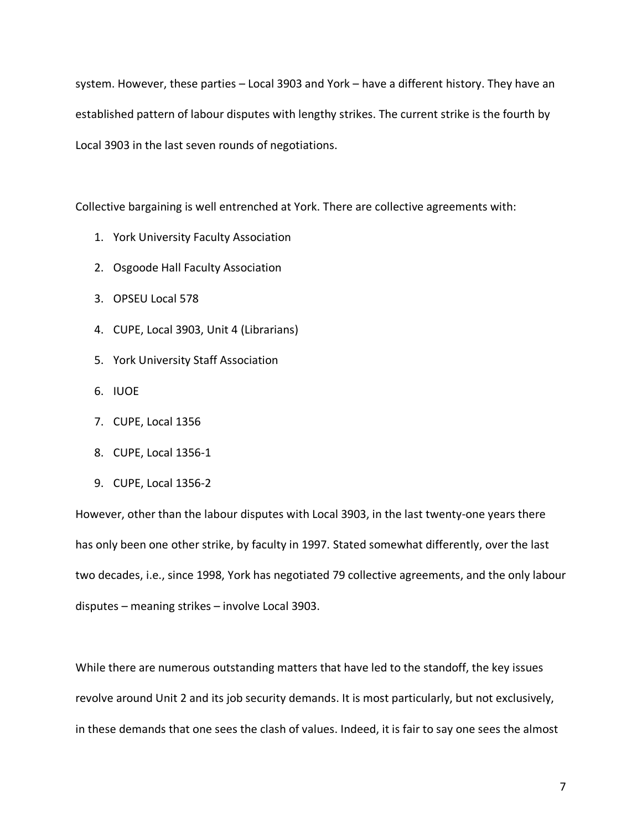system. However, these parties – Local 3903 and York – have a different history. They have an established pattern of labour disputes with lengthy strikes. The current strike is the fourth by Local 3903 in the last seven rounds of negotiations.

Collective bargaining is well entrenched at York. There are collective agreements with:

- 1. York University Faculty Association
- 2. Osgoode Hall Faculty Association
- 3. OPSEU Local 578
- 4. CUPE, Local 3903, Unit 4 (Librarians)
- 5. York University Staff Association
- 6. IUOE
- 7. CUPE, Local 1356
- 8. CUPE, Local 1356-1
- 9. CUPE, Local 1356-2

However, other than the labour disputes with Local 3903, in the last twenty-one years there has only been one other strike, by faculty in 1997. Stated somewhat differently, over the last two decades, i.e., since 1998, York has negotiated 79 collective agreements, and the only labour disputes – meaning strikes – involve Local 3903.

While there are numerous outstanding matters that have led to the standoff, the key issues revolve around Unit 2 and its job security demands. It is most particularly, but not exclusively, in these demands that one sees the clash of values. Indeed, it is fair to say one sees the almost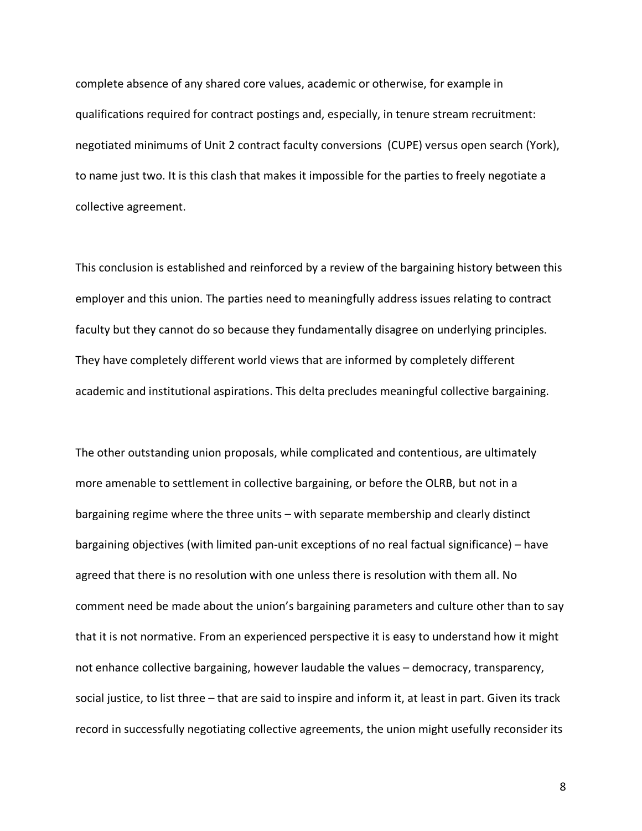complete absence of any shared core values, academic or otherwise, for example in qualifications required for contract postings and, especially, in tenure stream recruitment: negotiated minimums of Unit 2 contract faculty conversions (CUPE) versus open search (York), to name just two. It is this clash that makes it impossible for the parties to freely negotiate a collective agreement.

This conclusion is established and reinforced by a review of the bargaining history between this employer and this union. The parties need to meaningfully address issues relating to contract faculty but they cannot do so because they fundamentally disagree on underlying principles. They have completely different world views that are informed by completely different academic and institutional aspirations. This delta precludes meaningful collective bargaining.

The other outstanding union proposals, while complicated and contentious, are ultimately more amenable to settlement in collective bargaining, or before the OLRB, but not in a bargaining regime where the three units – with separate membership and clearly distinct bargaining objectives (with limited pan-unit exceptions of no real factual significance) – have agreed that there is no resolution with one unless there is resolution with them all. No comment need be made about the union's bargaining parameters and culture other than to say that it is not normative. From an experienced perspective it is easy to understand how it might not enhance collective bargaining, however laudable the values – democracy, transparency, social justice, to list three – that are said to inspire and inform it, at least in part. Given its track record in successfully negotiating collective agreements, the union might usefully reconsider its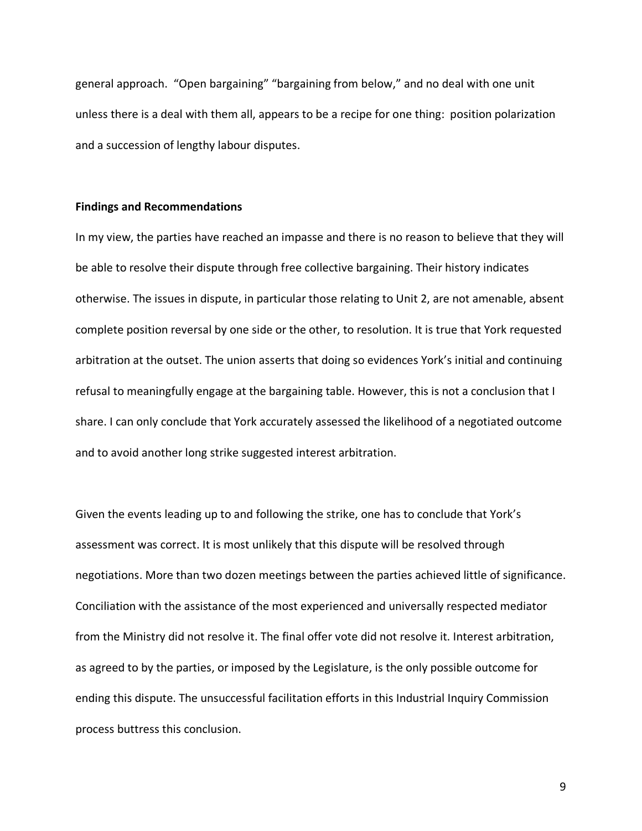general approach. "Open bargaining" "bargaining from below," and no deal with one unit unless there is a deal with them all, appears to be a recipe for one thing: position polarization and a succession of lengthy labour disputes.

### **Findings and Recommendations**

In my view, the parties have reached an impasse and there is no reason to believe that they will be able to resolve their dispute through free collective bargaining. Their history indicates otherwise. The issues in dispute, in particular those relating to Unit 2, are not amenable, absent complete position reversal by one side or the other, to resolution. It is true that York requested arbitration at the outset. The union asserts that doing so evidences York's initial and continuing refusal to meaningfully engage at the bargaining table. However, this is not a conclusion that I share. I can only conclude that York accurately assessed the likelihood of a negotiated outcome and to avoid another long strike suggested interest arbitration.

Given the events leading up to and following the strike, one has to conclude that York's assessment was correct. It is most unlikely that this dispute will be resolved through negotiations. More than two dozen meetings between the parties achieved little of significance. Conciliation with the assistance of the most experienced and universally respected mediator from the Ministry did not resolve it. The final offer vote did not resolve it. Interest arbitration, as agreed to by the parties, or imposed by the Legislature, is the only possible outcome for ending this dispute. The unsuccessful facilitation efforts in this Industrial Inquiry Commission process buttress this conclusion.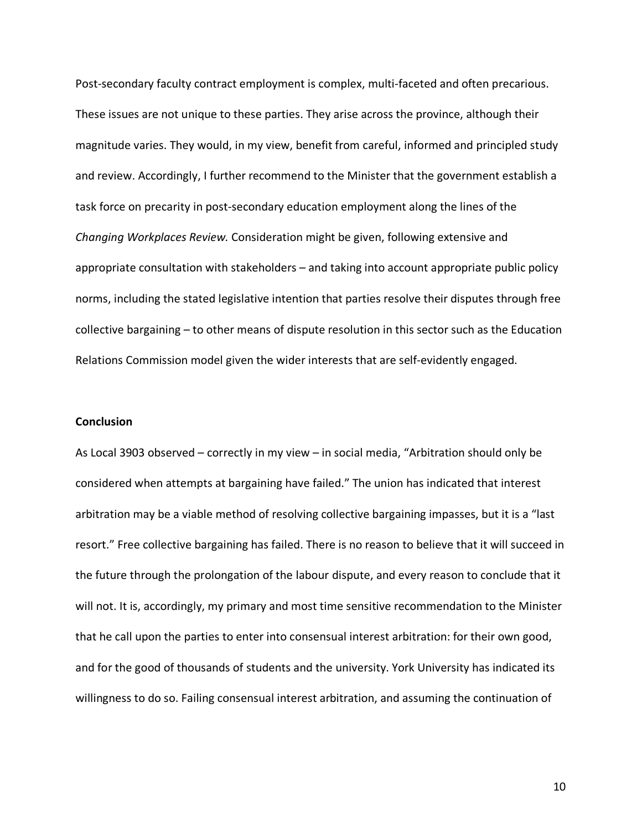Post-secondary faculty contract employment is complex, multi-faceted and often precarious. These issues are not unique to these parties. They arise across the province, although their magnitude varies. They would, in my view, benefit from careful, informed and principled study and review. Accordingly, I further recommend to the Minister that the government establish a task force on precarity in post-secondary education employment along the lines of the *Changing Workplaces Review.* Consideration might be given, following extensive and appropriate consultation with stakeholders – and taking into account appropriate public policy norms, including the stated legislative intention that parties resolve their disputes through free collective bargaining – to other means of dispute resolution in this sector such as the Education Relations Commission model given the wider interests that are self-evidently engaged.

# **Conclusion**

As Local 3903 observed – correctly in my view – in social media, "Arbitration should only be considered when attempts at bargaining have failed." The union has indicated that interest arbitration may be a viable method of resolving collective bargaining impasses, but it is a "last resort." Free collective bargaining has failed. There is no reason to believe that it will succeed in the future through the prolongation of the labour dispute, and every reason to conclude that it will not. It is, accordingly, my primary and most time sensitive recommendation to the Minister that he call upon the parties to enter into consensual interest arbitration: for their own good, and for the good of thousands of students and the university. York University has indicated its willingness to do so. Failing consensual interest arbitration, and assuming the continuation of